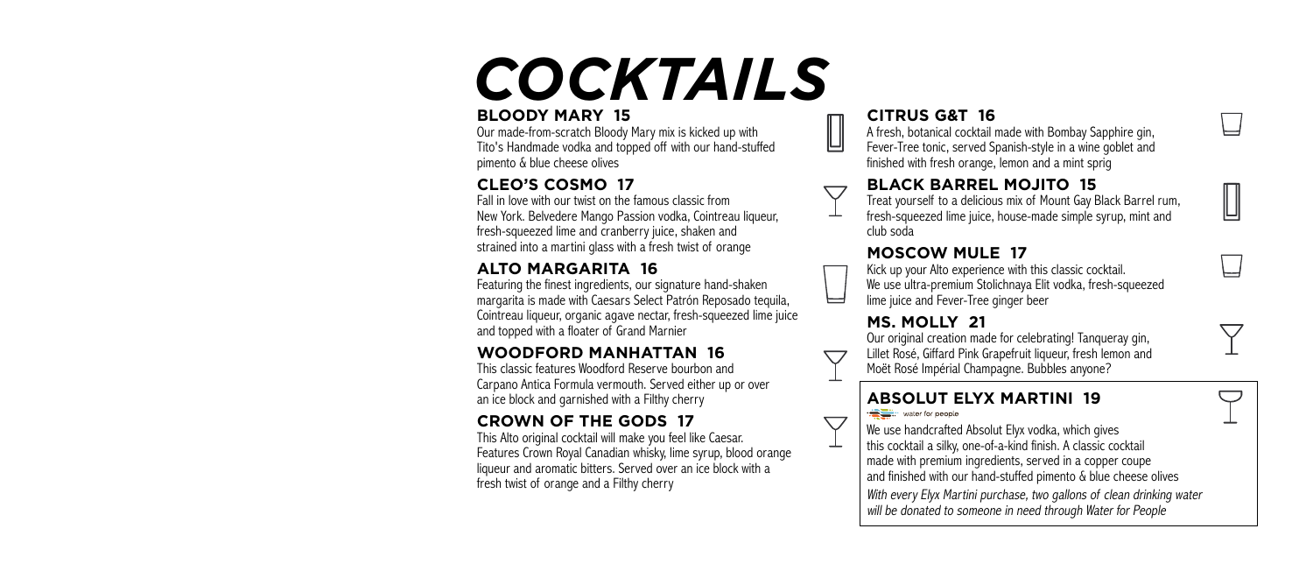# *COCKTAILS*

#### **BLOODY MARY 15**

Our made-from-scratch Bloody Mary mix is kicked up with Tito's Handmade vodka and topped off with our hand-stuffed pimento & blue cheese olives

### **CLEO'S COSMO 17**

Fall in love with our twist on the famous classic from New York. Belvedere Mango Passion vodka, Cointreau liqueur, fresh-squeezed lime and cranberry juice, shaken and strained into a martini glass with a fresh twist of orange

### **ALTO MARGARITA 16**

Featuring the finest ingredients, our signature hand-shaken margarita is made with Caesars Select Patrón Reposado tequila, Cointreau liqueur, organic agave nectar, fresh-squeezed lime juice and topped with a floater of Grand Marnier

#### **WOODFORD MANHATTAN 16**

This classic features Woodford Reserve bourbon and Carpano Antica Formula vermouth. Served either up or over an ice block and garnished with a Filthy cherry

### **CROWN OF THE GODS 17**

This Alto original cocktail will make you feel like Caesar. Features Crown Royal Canadian whisky, lime syrup, blood orange liqueur and aromatic bitters. Served over an ice block with a fresh twist of orange and a Filthy cherry

#### **CITRUS G&T 16**

A fresh, botanical cocktail made with Bombay Sapphire gin, Fever-Tree tonic, served Spanish-style in a wine goblet and finished with fresh orange, lemon and a mint sprig

#### **BLACK BARREL MOJITO 15**

Treat yourself to a delicious mix of Mount Gay Black Barrel rum, fresh-squeezed lime juice, house-made simple syrup, mint and club soda

#### **MOSCOW MULE 17**

Kick up your Alto experience with this classic cocktail. We use ultra-premium Stolichnaya Elit vodka, fresh-squeezed lime juice and Fever-Tree ginger beer

#### **MS. MOLLY 21**

 $\bigtriangledown$ 

Our original creation made for celebrating! Tanqueray gin, Lillet Rosé, Giffard Pink Grapefruit liqueur, fresh lemon and Moët Rosé Impérial Champagne. Bubbles anyone?

#### **ABSOLUT ELYX MARTINI 19** . water for people

We use handcrafted Absolut Elyx vodka, which gives this cocktail a silky, one-of-a-kind finish. A classic cocktail made with premium ingredients, served in a copper coupe and finished with our hand-stuffed pimento & blue cheese olives

With every Elyx Martini purchase, two gallons of clean drinking water will be donated to someone in need through Water for People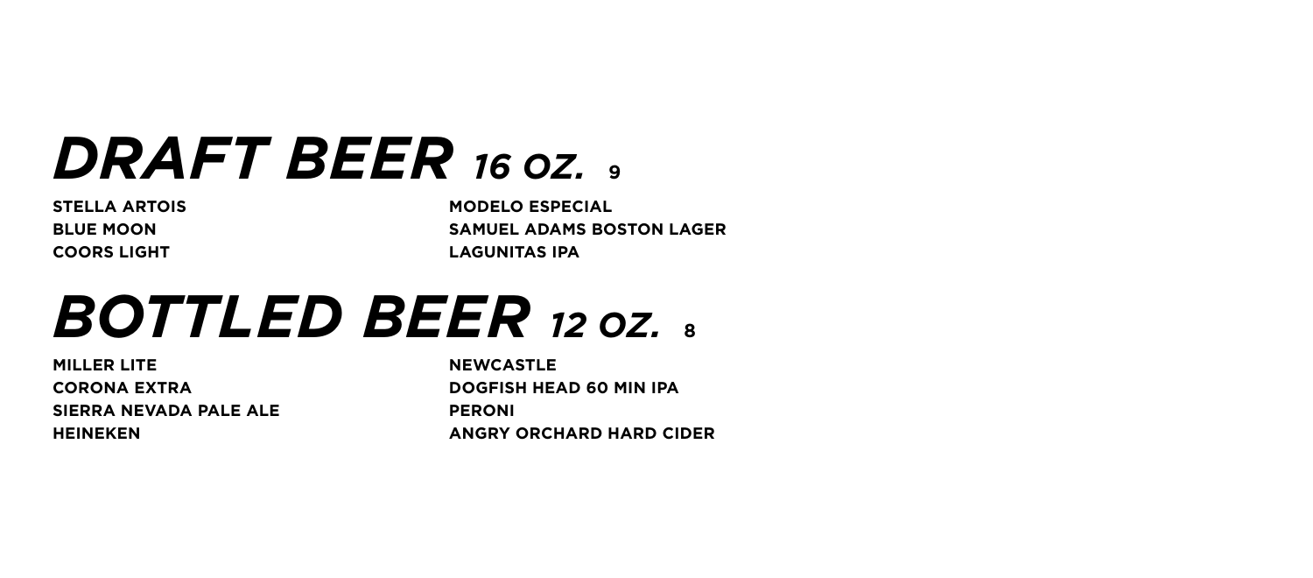### *DRAFT BEER 16 OZ.* **<sup>9</sup>**

**STELLA ARTOIS BLUE MOON COORS LIGHT**

**MODELO ESPECIAL SAMUEL ADAMS BOSTON LAGER LAGUNITAS IPA**

## *BOTTLED BEER 12 OZ.* **<sup>8</sup>**

**MILLER LITE CORONA EXTRA SIERRA NEVADA PALE ALE HEINEKEN**

**NEWCASTLE DOGFISH HEAD 60 MIN IPA PERONI ANGRY ORCHARD HARD CIDER**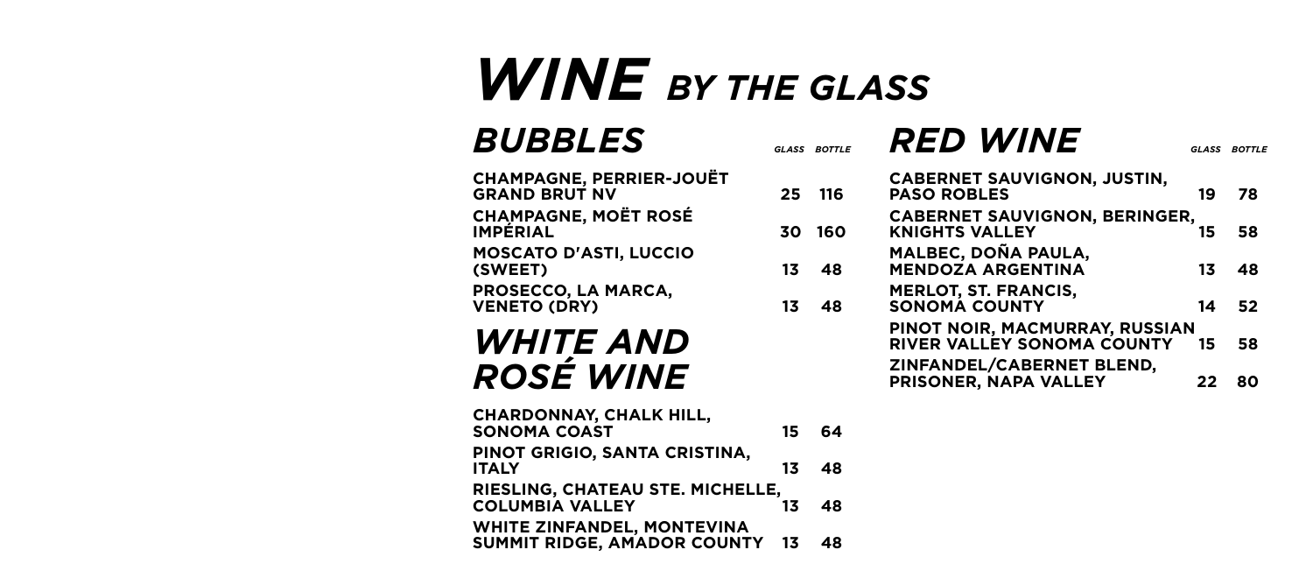### *WINE BY THE GLASS*

**BUBBLES** 

| <b>CHAMPAGNE, PERRIER-JOUËT</b><br><b>GRAND BRUT NV</b> |
|---------------------------------------------------------|
| <b>CHAMPAGNE, MOËT ROSÉ</b><br><b>IMPÉRIAL</b>          |
| <b>MOSCATO D'ASTI, LUCCIO</b><br>(SWEET)                |
| PROSECCO, LA MARCA,<br><b>VENETO (DRY)</b>              |

*WHITE AND ROSÉ WINE*

| <b>CHARDONNAY, CHALK HILL,</b><br><b>SONOMA COAST</b>               | 15 | - 64 |
|---------------------------------------------------------------------|----|------|
| PINOT GRIGIO, SANTA CRISTINA,<br><b>ITALY</b>                       | 13 | 48   |
| RIESLING, CHATEAU STE. MICHELLE,<br><b>COLUMBIA VALLEY</b>          | 13 | 48   |
| <b>WHITE ZINFANDEL, MONTEVINA</b><br>SUMMIT RIDGE, AMADOR COUNTY 13 |    | 48   |

| GLASS | <b>BOTTLE</b> | <b>RED WINE</b>                                                     | GLASS | <b>BOTTLE</b> |
|-------|---------------|---------------------------------------------------------------------|-------|---------------|
| 25    | 116           | <b>CABERNET SAUVIGNON, JUSTIN,</b><br><b>PASO ROBLES</b>            | 19    | 78            |
| 30    | 160           | <b>CABERNET SAUVIGNON, BERINGER,</b><br><b>KNIGHTS VALLEY</b>       | 15    | 58            |
| 13    | 48            | MALBEC, DOÑA PAULA,<br><b>MENDOZA ARGENTINA</b>                     | 13    | 48            |
| 13    | 48            | <b>MERLOT, ST. FRANCIS,</b><br><b>SONOMA COUNTY</b>                 | 14    | 52            |
|       |               | PINOT NOIR, MACMURRAY, RUSSIAN<br><b>RIVER VALLEY SONOMA COUNTY</b> | 15    | 58            |
|       |               | ZINFANDEL/CABERNET BLEND,<br>PRISONER, NAPA VALLEY                  | 22    | 80            |